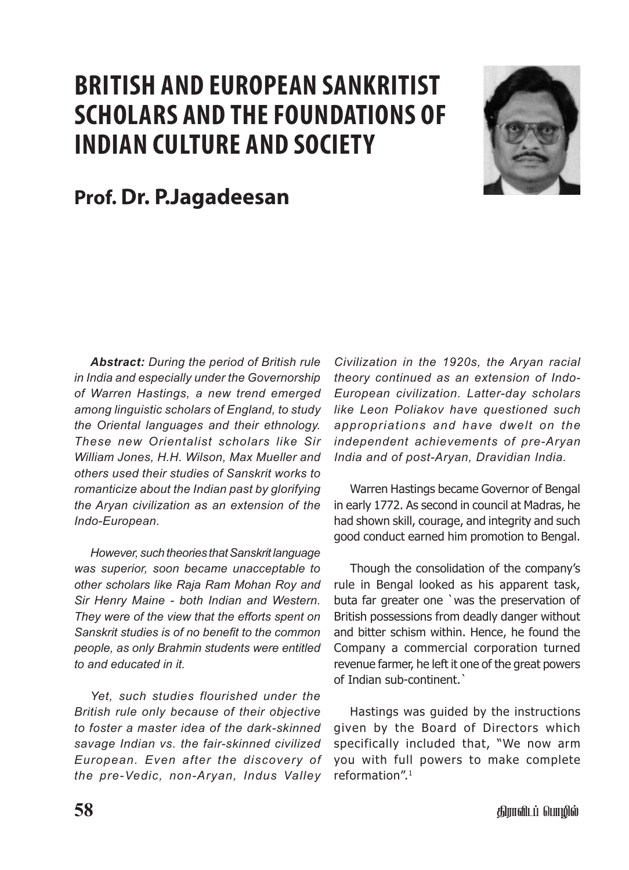# **BRITISH AND EUROPEAN SANKRITIST SCHOLARS AND THE FOUNDATIONS OF INDIAN CULTURE AND SOCIETY**



# **Prof. Dr. P.Jagadeesan**

*Abstract: During the period of British rule in India and especially under the Governorship of Warren Hastings, a new trend emerged among linguistic scholars of England, to study the Oriental languages and their ethnology. These new Orientalist scholars like Sir William Jones, H.H. Wilson, Max Mueller and others used their studies of Sanskrit works to romanticize about the Indian past by glorifying the Aryan civilization as an extension of the Indo-European.* 

*However, such theories that Sanskrit language was superior, soon became unacceptable to other scholars like Raja Ram Mohan Roy and Sir Henry Maine - both Indian and Western. They were of the view that the efforts spent on Sanskrit studies is of no benefit to the common people, as only Brahmin students were entitled to and educated in it.* 

*Yet, such studies flourished under the British rule only because of their objective to foster a master idea of the dark-skinned savage Indian vs. the fair-skinned civilized European. Even after the discovery of the pre-Vedic, non-Aryan, Indus Valley*  *Civilization in the 1920s, the Aryan racial theory continued as an extension of Indo-European civilization. Latter-day scholars like Leon Poliakov have questioned such appropriations and have dwelt on the independent achievements of pre-Aryan India and of post-Aryan, Dravidian India.*

Warren Hastings became Governor of Bengal in early 1772. As second in council at Madras, he had shown skill, courage, and integrity and such good conduct earned him promotion to Bengal.

Though the consolidation of the company's rule in Bengal looked as his apparent task, buta far greater one `was the preservation of British possessions from deadly danger without and bitter schism within. Hence, he found the Company a commercial corporation turned revenue farmer, he left it one of the great powers of Indian sub-continent.`

Hastings was guided by the instructions given by the Board of Directors which specifically included that, "We now arm you with full powers to make complete reformation".1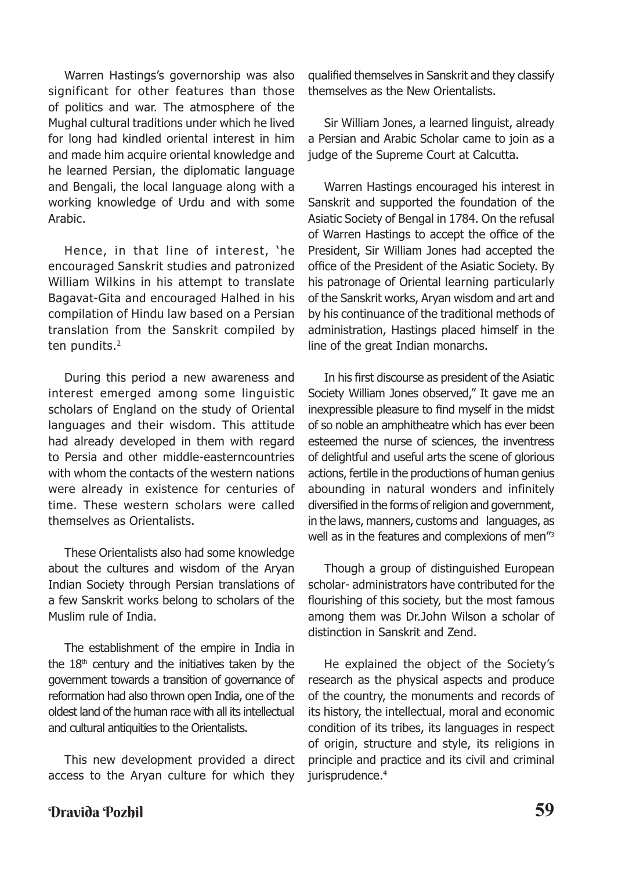Warren Hastings's governorship was also significant for other features than those of politics and war. The atmosphere of the Mughal cultural traditions under which he lived for long had kindled oriental interest in him and made him acquire oriental knowledge and he learned Persian, the diplomatic language and Bengali, the local language along with a working knowledge of Urdu and with some Arabic.

Hence, in that line of interest, 'he encouraged Sanskrit studies and patronized William Wilkins in his attempt to translate Bagavat-Gita and encouraged Halhed in his compilation of Hindu law based on a Persian translation from the Sanskrit compiled by ten pundits.<sup>2</sup>

During this period a new awareness and interest emerged among some linguistic scholars of England on the study of Oriental languages and their wisdom. This attitude had already developed in them with regard to Persia and other middle-easterncountries with whom the contacts of the western nations were already in existence for centuries of time. These western scholars were called themselves as Orientalists.

These Orientalists also had some knowledge about the cultures and wisdom of the Aryan Indian Society through Persian translations of a few Sanskrit works belong to scholars of the Muslim rule of India.

The establishment of the empire in India in the 18<sup>th</sup> century and the initiatives taken by the government towards a transition of governance of reformation had also thrown open India, one of the oldest land of the human race with all its intellectual and cultural antiquities to the Orientalists.

This new development provided a direct access to the Aryan culture for which they qualified themselves in Sanskrit and they classify themselves as the New Orientalists.

Sir William Jones, a learned linguist, already a Persian and Arabic Scholar came to join as a judge of the Supreme Court at Calcutta.

Warren Hastings encouraged his interest in Sanskrit and supported the foundation of the Asiatic Society of Bengal in 1784. On the refusal of Warren Hastings to accept the office of the President, Sir William Jones had accepted the office of the President of the Asiatic Society. By his patronage of Oriental learning particularly of the Sanskrit works, Aryan wisdom and art and by his continuance of the traditional methods of administration, Hastings placed himself in the line of the great Indian monarchs.

In his first discourse as president of the Asiatic Society William Jones observed," It gave me an inexpressible pleasure to find myself in the midst of so noble an amphitheatre which has ever been esteemed the nurse of sciences, the inventress of delightful and useful arts the scene of glorious actions, fertile in the productions of human genius abounding in natural wonders and infinitely diversified in the forms of religion and government, in the laws, manners, customs and languages, as well as in the features and complexions of men"3

Though a group of distinguished European scholar- administrators have contributed for the flourishing of this society, but the most famous among them was Dr.John Wilson a scholar of distinction in Sanskrit and Zend.

He explained the object of the Society's research as the physical aspects and produce of the country, the monuments and records of its history, the intellectual, moral and economic condition of its tribes, its languages in respect of origin, structure and style, its religions in principle and practice and its civil and criminal jurisprudence.<sup>4</sup>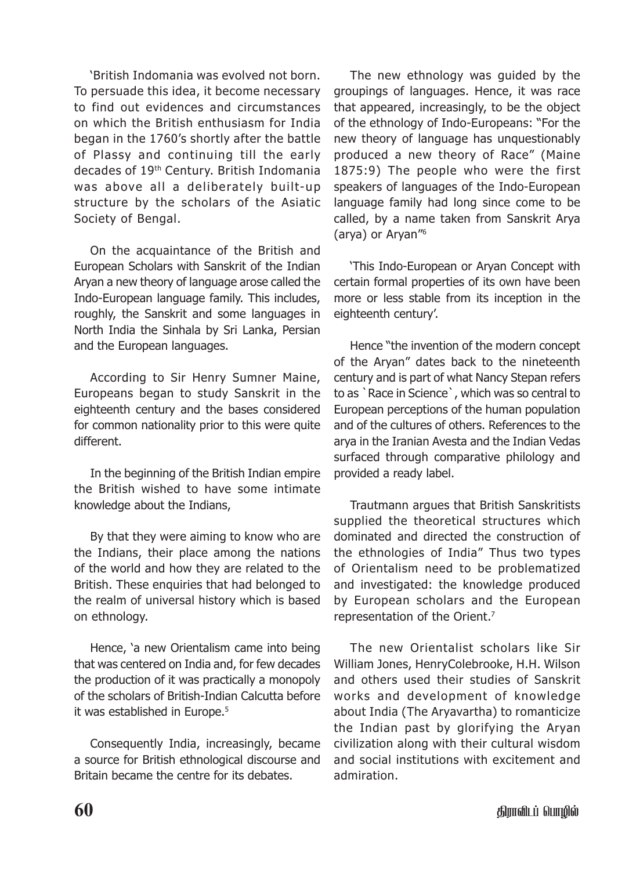'British Indomania was evolved not born. To persuade this idea, it become necessary to find out evidences and circumstances on which the British enthusiasm for India began in the 1760's shortly after the battle of Plassy and continuing till the early decades of 19th Century. British Indomania was above all a deliberately built-up structure by the scholars of the Asiatic Society of Bengal.

On the acquaintance of the British and European Scholars with Sanskrit of the Indian Aryan a new theory of language arose called the Indo-European language family. This includes, roughly, the Sanskrit and some languages in North India the Sinhala by Sri Lanka, Persian and the European languages.

According to Sir Henry Sumner Maine, Europeans began to study Sanskrit in the eighteenth century and the bases considered for common nationality prior to this were quite different.

In the beginning of the British Indian empire the British wished to have some intimate knowledge about the Indians,

By that they were aiming to know who are the Indians, their place among the nations of the world and how they are related to the British. These enquiries that had belonged to the realm of universal history which is based on ethnology.

Hence, 'a new Orientalism came into being that was centered on India and, for few decades the production of it was practically a monopoly of the scholars of British-Indian Calcutta before it was established in Europe.<sup>5</sup>

Consequently India, increasingly, became a source for British ethnological discourse and Britain became the centre for its debates.

The new ethnology was guided by the groupings of languages. Hence, it was race that appeared, increasingly, to be the object of the ethnology of Indo-Europeans: "For the new theory of language has unquestionably produced a new theory of Race" (Maine 1875:9) The people who were the first speakers of languages of the Indo-European language family had long since come to be called, by a name taken from Sanskrit Arya (arya) or Aryan"6

'This Indo-European or Aryan Concept with certain formal properties of its own have been more or less stable from its inception in the eighteenth century'.

Hence "the invention of the modern concept of the Aryan" dates back to the nineteenth century and is part of what Nancy Stepan refers to as `Race in Science`, which was so central to European perceptions of the human population and of the cultures of others. References to the arya in the Iranian Avesta and the Indian Vedas surfaced through comparative philology and provided a ready label.

Trautmann argues that British Sanskritists supplied the theoretical structures which dominated and directed the construction of the ethnologies of India" Thus two types of Orientalism need to be problematized and investigated: the knowledge produced by European scholars and the European representation of the Orient.7

The new Orientalist scholars like Sir William Jones, HenryColebrooke, H.H. Wilson and others used their studies of Sanskrit works and development of knowledge about India (The Aryavartha) to romanticize the Indian past by glorifying the Aryan civilization along with their cultural wisdom and social institutions with excitement and admiration.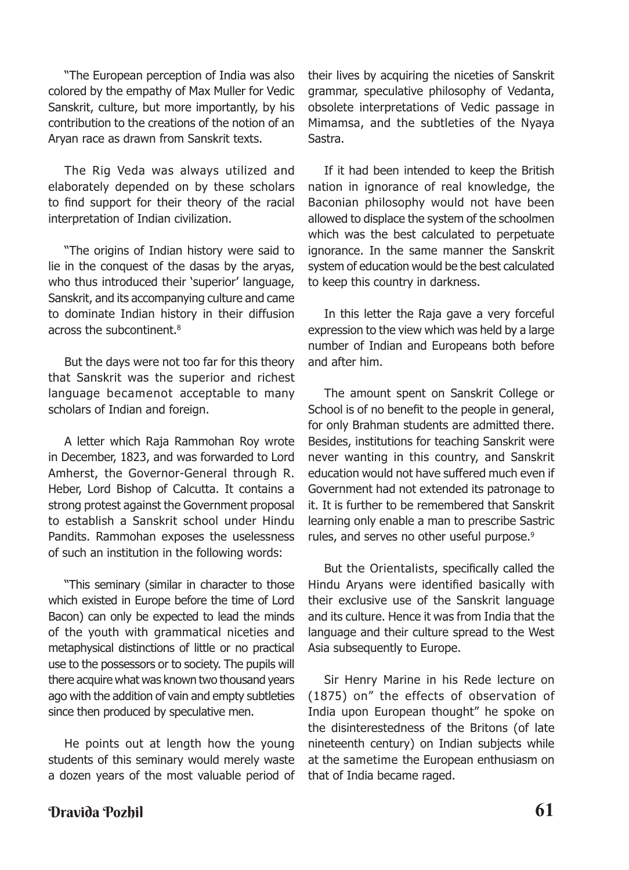"The European perception of India was also colored by the empathy of Max Muller for Vedic Sanskrit, culture, but more importantly, by his contribution to the creations of the notion of an Aryan race as drawn from Sanskrit texts.

The Rig Veda was always utilized and elaborately depended on by these scholars to find support for their theory of the racial interpretation of Indian civilization.

"The origins of Indian history were said to lie in the conquest of the dasas by the aryas, who thus introduced their 'superior' language, Sanskrit, and its accompanying culture and came to dominate Indian history in their diffusion across the subcontinent.8

But the days were not too far for this theory that Sanskrit was the superior and richest language becamenot acceptable to many scholars of Indian and foreign.

A letter which Raja Rammohan Roy wrote in December, 1823, and was forwarded to Lord Amherst, the Governor-General through R. Heber, Lord Bishop of Calcutta. It contains a strong protest against the Government proposal to establish a Sanskrit school under Hindu Pandits. Rammohan exposes the uselessness of such an institution in the following words:

"This seminary (similar in character to those which existed in Europe before the time of Lord Bacon) can only be expected to lead the minds of the youth with grammatical niceties and metaphysical distinctions of little or no practical use to the possessors or to society. The pupils will there acquire what was known two thousand years ago with the addition of vain and empty subtleties since then produced by speculative men.

He points out at length how the young students of this seminary would merely waste a dozen years of the most valuable period of their lives by acquiring the niceties of Sanskrit grammar, speculative philosophy of Vedanta, obsolete interpretations of Vedic passage in Mimamsa, and the subtleties of the Nyaya Sastra.

If it had been intended to keep the British nation in ignorance of real knowledge, the Baconian philosophy would not have been allowed to displace the system of the schoolmen which was the best calculated to perpetuate ignorance. In the same manner the Sanskrit system of education would be the best calculated to keep this country in darkness.

In this letter the Raja gave a very forceful expression to the view which was held by a large number of Indian and Europeans both before and after him.

The amount spent on Sanskrit College or School is of no benefit to the people in general, for only Brahman students are admitted there. Besides, institutions for teaching Sanskrit were never wanting in this country, and Sanskrit education would not have suffered much even if Government had not extended its patronage to it. It is further to be remembered that Sanskrit learning only enable a man to prescribe Sastric rules, and serves no other useful purpose.<sup>9</sup>

But the Orientalists, specifically called the Hindu Aryans were identified basically with their exclusive use of the Sanskrit language and its culture. Hence it was from India that the language and their culture spread to the West Asia subsequently to Europe.

Sir Henry Marine in his Rede lecture on (1875) on" the effects of observation of India upon European thought" he spoke on the disinterestedness of the Britons (of late nineteenth century) on Indian subjects while at the sametime the European enthusiasm on that of India became raged.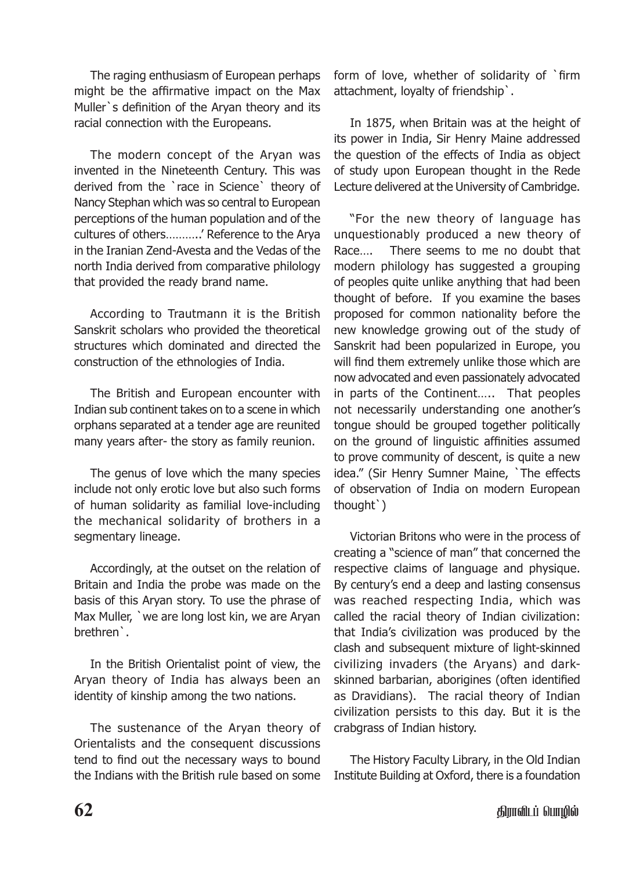The raging enthusiasm of European perhaps might be the affirmative impact on the Max Muller`s definition of the Aryan theory and its racial connection with the Europeans.

The modern concept of the Aryan was invented in the Nineteenth Century. This was derived from the `race in Science` theory of Nancy Stephan which was so central to European perceptions of the human population and of the cultures of others………..' Reference to the Arya in the Iranian Zend-Avesta and the Vedas of the north India derived from comparative philology that provided the ready brand name.

According to Trautmann it is the British Sanskrit scholars who provided the theoretical structures which dominated and directed the construction of the ethnologies of India.

The British and European encounter with Indian sub continent takes on to a scene in which orphans separated at a tender age are reunited many years after- the story as family reunion.

The genus of love which the many species include not only erotic love but also such forms of human solidarity as familial love-including the mechanical solidarity of brothers in a segmentary lineage.

Accordingly, at the outset on the relation of Britain and India the probe was made on the basis of this Aryan story. To use the phrase of Max Muller, `we are long lost kin, we are Aryan brethren`.

In the British Orientalist point of view, the Aryan theory of India has always been an identity of kinship among the two nations.

The sustenance of the Aryan theory of Orientalists and the consequent discussions tend to find out the necessary ways to bound the Indians with the British rule based on some form of love, whether of solidarity of `firm attachment, loyalty of friendship`.

In 1875, when Britain was at the height of its power in India, Sir Henry Maine addressed the question of the effects of India as object of study upon European thought in the Rede Lecture delivered at the University of Cambridge.

"For the new theory of language has unquestionably produced a new theory of Race…. There seems to me no doubt that modern philology has suggested a grouping of peoples quite unlike anything that had been thought of before. If you examine the bases proposed for common nationality before the new knowledge growing out of the study of Sanskrit had been popularized in Europe, you will find them extremely unlike those which are now advocated and even passionately advocated in parts of the Continent….. That peoples not necessarily understanding one another's tongue should be grouped together politically on the ground of linguistic affinities assumed to prove community of descent, is quite a new idea." (Sir Henry Sumner Maine, `The effects of observation of India on modern European thought`)

Victorian Britons who were in the process of creating a "science of man" that concerned the respective claims of language and physique. By century's end a deep and lasting consensus was reached respecting India, which was called the racial theory of Indian civilization: that India's civilization was produced by the clash and subsequent mixture of light-skinned civilizing invaders (the Aryans) and darkskinned barbarian, aborigines (often identified as Dravidians). The racial theory of Indian civilization persists to this day. But it is the crabgrass of Indian history.

The History Faculty Library, in the Old Indian Institute Building at Oxford, there is a foundation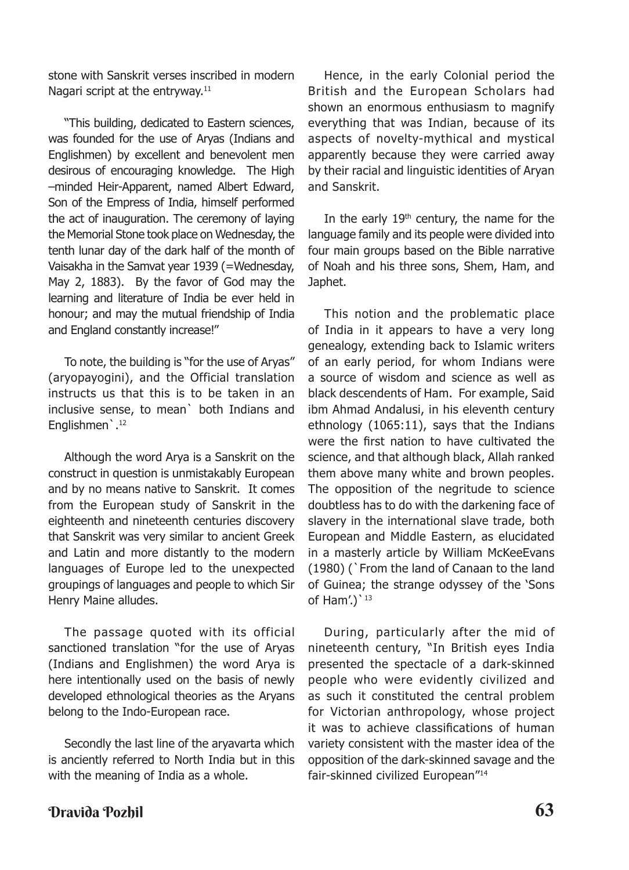stone with Sanskrit verses inscribed in modern Nagari script at the entryway.<sup>11</sup>

"This building, dedicated to Eastern sciences, was founded for the use of Aryas (Indians and Englishmen) by excellent and benevolent men desirous of encouraging knowledge. The High –minded Heir-Apparent, named Albert Edward, Son of the Empress of India, himself performed the act of inauguration. The ceremony of laying the Memorial Stone took place on Wednesday, the tenth lunar day of the dark half of the month of Vaisakha in the Samvat year 1939 (=Wednesday, May 2, 1883). By the favor of God may the learning and literature of India be ever held in honour; and may the mutual friendship of India and England constantly increase!"

To note, the building is "for the use of Aryas" (aryopayogini), and the Official translation instructs us that this is to be taken in an inclusive sense, to mean` both Indians and Englishmen`.12

Although the word Arya is a Sanskrit on the construct in question is unmistakably European and by no means native to Sanskrit. It comes from the European study of Sanskrit in the eighteenth and nineteenth centuries discovery that Sanskrit was very similar to ancient Greek and Latin and more distantly to the modern languages of Europe led to the unexpected groupings of languages and people to which Sir Henry Maine alludes.

The passage quoted with its official sanctioned translation "for the use of Aryas (Indians and Englishmen) the word Arya is here intentionally used on the basis of newly developed ethnological theories as the Aryans belong to the Indo-European race.

Secondly the last line of the aryavarta which is anciently referred to North India but in this with the meaning of India as a whole.

Hence, in the early Colonial period the British and the European Scholars had shown an enormous enthusiasm to magnify everything that was Indian, because of its aspects of novelty-mythical and mystical apparently because they were carried away by their racial and linguistic identities of Aryan and Sanskrit.

In the early  $19<sup>th</sup>$  century, the name for the language family and its people were divided into four main groups based on the Bible narrative of Noah and his three sons, Shem, Ham, and Japhet.

This notion and the problematic place of India in it appears to have a very long genealogy, extending back to Islamic writers of an early period, for whom Indians were a source of wisdom and science as well as black descendents of Ham. For example, Said ibm Ahmad Andalusi, in his eleventh century ethnology (1065:11), says that the Indians were the first nation to have cultivated the science, and that although black, Allah ranked them above many white and brown peoples. The opposition of the negritude to science doubtless has to do with the darkening face of slavery in the international slave trade, both European and Middle Eastern, as elucidated in a masterly article by William McKeeEvans (1980) (`From the land of Canaan to the land of Guinea; the strange odyssey of the 'Sons of Ham'.) $^{\text{13}}$ 

During, particularly after the mid of nineteenth century, "In British eyes India presented the spectacle of a dark-skinned people who were evidently civilized and as such it constituted the central problem for Victorian anthropology, whose project it was to achieve classifications of human variety consistent with the master idea of the opposition of the dark-skinned savage and the fair-skinned civilized European"14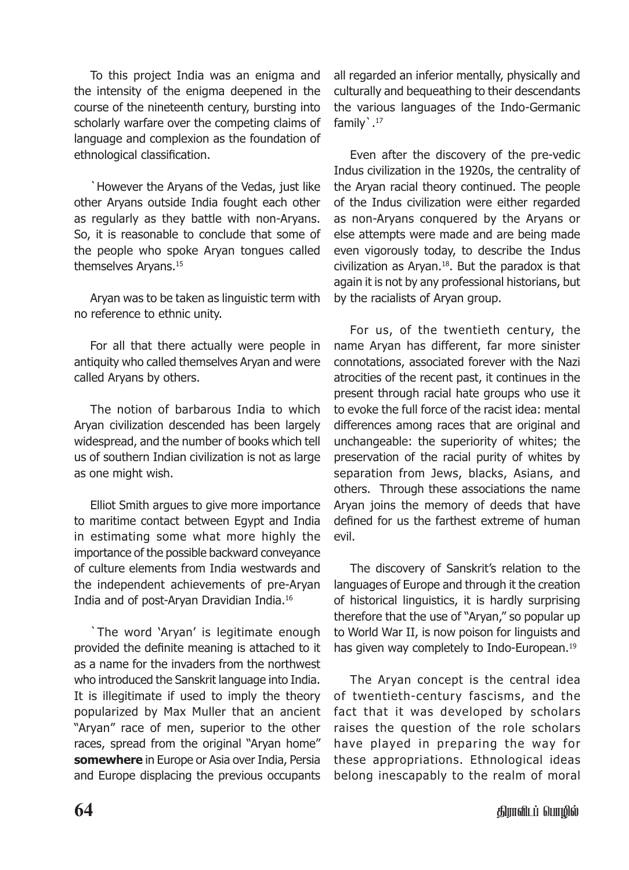To this project India was an enigma and the intensity of the enigma deepened in the course of the nineteenth century, bursting into scholarly warfare over the competing claims of language and complexion as the foundation of ethnological classification.

`However the Aryans of the Vedas, just like other Aryans outside India fought each other as regularly as they battle with non-Aryans. So, it is reasonable to conclude that some of the people who spoke Aryan tongues called themselves Aryans.<sup>15</sup>

Aryan was to be taken as linguistic term with no reference to ethnic unity.

For all that there actually were people in antiquity who called themselves Aryan and were called Aryans by others.

The notion of barbarous India to which Aryan civilization descended has been largely widespread, and the number of books which tell us of southern Indian civilization is not as large as one might wish.

Elliot Smith argues to give more importance to maritime contact between Egypt and India in estimating some what more highly the importance of the possible backward conveyance of culture elements from India westwards and the independent achievements of pre-Aryan India and of post-Aryan Dravidian India.16

`The word 'Aryan' is legitimate enough provided the definite meaning is attached to it as a name for the invaders from the northwest who introduced the Sanskrit language into India. It is illegitimate if used to imply the theory popularized by Max Muller that an ancient "Aryan" race of men, superior to the other races, spread from the original "Aryan home" **somewhere** in Europe or Asia over India, Persia and Europe displacing the previous occupants all regarded an inferior mentally, physically and culturally and bequeathing to their descendants the various languages of the Indo-Germanic family`.17

Even after the discovery of the pre-vedic Indus civilization in the 1920s, the centrality of the Aryan racial theory continued. The people of the Indus civilization were either regarded as non-Aryans conquered by the Aryans or else attempts were made and are being made even vigorously today, to describe the Indus civilization as Aryan.18. But the paradox is that again it is not by any professional historians, but by the racialists of Aryan group.

For us, of the twentieth century, the name Aryan has different, far more sinister connotations, associated forever with the Nazi atrocities of the recent past, it continues in the present through racial hate groups who use it to evoke the full force of the racist idea: mental differences among races that are original and unchangeable: the superiority of whites; the preservation of the racial purity of whites by separation from Jews, blacks, Asians, and others. Through these associations the name Aryan joins the memory of deeds that have defined for us the farthest extreme of human evil.

The discovery of Sanskrit's relation to the languages of Europe and through it the creation of historical linguistics, it is hardly surprising therefore that the use of "Aryan," so popular up to World War II, is now poison for linguists and has given way completely to Indo-European.<sup>19</sup>

The Aryan concept is the central idea of twentieth-century fascisms, and the fact that it was developed by scholars raises the question of the role scholars have played in preparing the way for these appropriations. Ethnological ideas belong inescapably to the realm of moral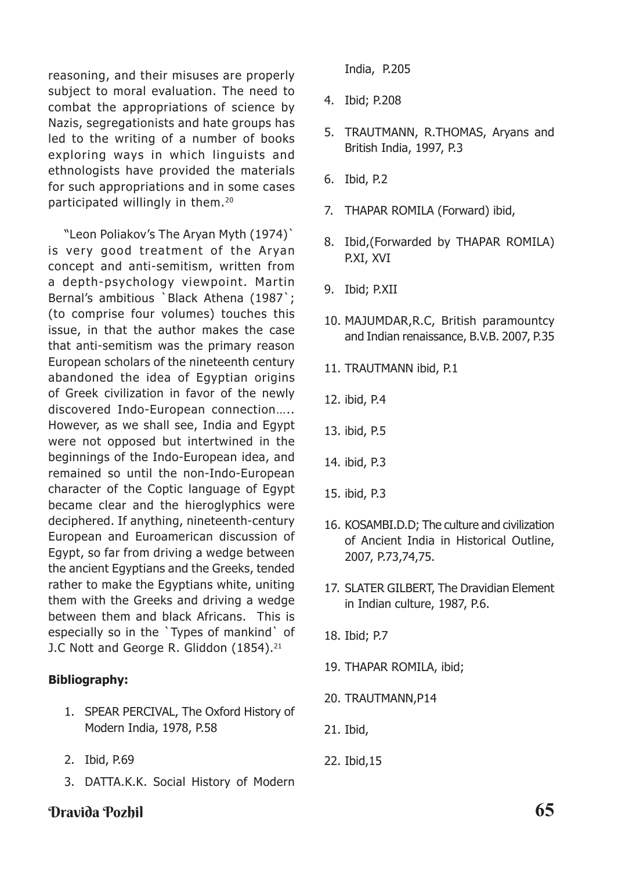reasoning, and their misuses are properly subject to moral evaluation. The need to combat the appropriations of science by Nazis, segregationists and hate groups has led to the writing of a number of books exploring ways in which linguists and ethnologists have provided the materials for such appropriations and in some cases participated willingly in them.20

"Leon Poliakov's The Aryan Myth (1974)` is very good treatment of the Aryan concept and anti-semitism, written from a depth-psychology viewpoint. Martin Bernal's ambitious `Black Athena (1987`; (to comprise four volumes) touches this issue, in that the author makes the case that anti-semitism was the primary reason European scholars of the nineteenth century abandoned the idea of Egyptian origins of Greek civilization in favor of the newly discovered Indo-European connection….. However, as we shall see, India and Egypt were not opposed but intertwined in the beginnings of the Indo-European idea, and remained so until the non-Indo-European character of the Coptic language of Egypt became clear and the hieroglyphics were deciphered. If anything, nineteenth-century European and Euroamerican discussion of Egypt, so far from driving a wedge between the ancient Egyptians and the Greeks, tended rather to make the Egyptians white, uniting them with the Greeks and driving a wedge between them and black Africans. This is especially so in the `Types of mankind` of J.C Nott and George R. Gliddon (1854).<sup>21</sup>

#### **Bibliography:**

- 1. SPEAR PERCIVAL, The Oxford History of Modern India, 1978, P.58
- 2. Ibid, P.69
- 3. DATTA.K.K. Social History of Modern

India, P.205

- 4. Ibid; P.208
- 5. TRAUTMANN, R.THOMAS, Aryans and British India, 1997, P.3
- 6. Ibid, P.2
- 7. THAPAR ROMILA (Forward) ibid,
- 8. Ibid,(Forwarded by THAPAR ROMILA) P.XI, XVI
- 9. Ibid; P.XII
- 10. MAJUMDAR,R.C, British paramountcy and Indian renaissance, B.V.B. 2007, P.35
- 11. TRAUTMANN ibid, P.1
- 12. ibid, P.4
- 13. ibid, P.5
- 14. ibid, P.3
- 15. ibid, P.3
- 16. KOSAMBI.D.D; The culture and civilization of Ancient India in Historical Outline, 2007, P.73,74,75.
- 17. SLATER GILBERT, The Dravidian Element in Indian culture, 1987, P.6.
- 18. Ibid; P.7
- 19. THAPAR ROMILA, ibid;
- 20. TRAUTMANN,P14
- 21. Ibid,
- 22. Ibid,15